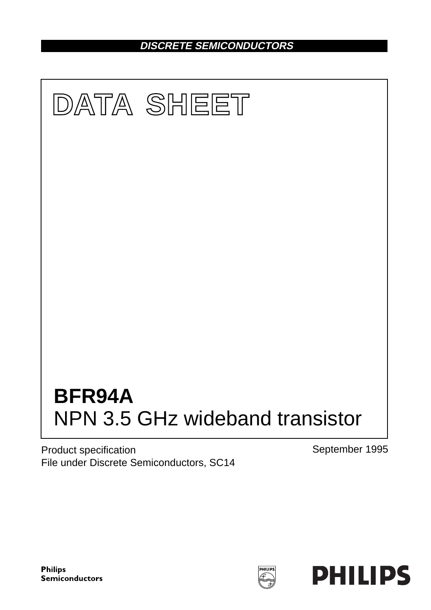**DISCRETE SEMICONDUCTORS**



Product specification File under Discrete Semiconductors, SC14 September 1995



PHILIPS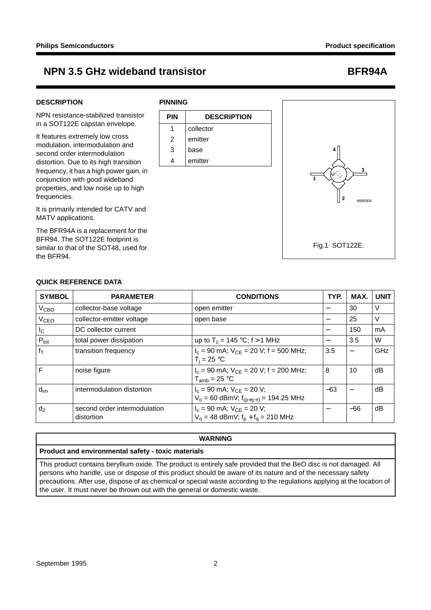## **DESCRIPTION**

NPN resistance-stabilized transistor in a SOT122E capstan envelope.

It features extremely low cross modulation, intermodulation and second order intermodulation distortion. Due to its high transition frequency, it has a high power gain, in conjunction with good wideband properties, and low noise up to high frequencies.

It is primarily intended for CATV and MATV applications.

The BFR94A is a replacement for the BFR94. The SOT122E footprint is similar to that of the SOT48, used for the BFR94.

## **PINNING**





## **QUICK REFERENCE DATA**

| <b>SYMBOL</b>    | <b>PARAMETER</b>                           | <b>CONDITIONS</b>                                                              | TYP.  | MAX.  | <b>UNIT</b> |
|------------------|--------------------------------------------|--------------------------------------------------------------------------------|-------|-------|-------------|
| V <sub>CBO</sub> | collector-base voltage                     | open emitter                                                                   |       | 30    | V           |
| V <sub>CEO</sub> | collector-emitter voltage                  | open base                                                                      | -     | 25    | V           |
| $I_{\rm C}$      | DC collector current                       |                                                                                | —     | 150   | mA          |
| $P_{\text{tot}}$ | total power dissipation                    | up to $T_c = 145 °C$ ; f > 1 MHz                                               | —     | 3.5   | W           |
| $f_T$            | transition frequency                       | $I_c$ = 90 mA; $V_{CF}$ = 20 V; f = 500 MHz;<br>$T_i = 25 °C$                  | 3.5   |       | GHz         |
| F                | noise figure                               | $I_c$ = 90 mA; $V_{CE}$ = 20 V; f = 200 MHz;<br>$T_{amb}$ = 25 °C              | 8     | 10    | dB          |
| $d_{\text{im}}$  | intermodulation distortion                 | $I_c = 90$ mA; $V_{CE} = 20$ V;<br>$V_0 = 60$ dBmV; $f_{(p+q-r)} = 194.25$ MHz | $-63$ | —     | dB          |
| d <sub>2</sub>   | second order intermodulation<br>distortion | $I_c = 90$ mA; $V_{CE} = 20$ V;<br>$V_0 = 48$ dBmV; $f_p + f_q = 210$ MHz      |       | $-56$ | dB          |

### **WARNING**

### **Product and environmental safety - toxic materials**

This product contains beryllium oxide. The product is entirely safe provided that the BeO disc is not damaged. All persons who handle, use or dispose of this product should be aware of its nature and of the necessary safety precautions. After use, dispose of as chemical or special waste according to the regulations applying at the location of the user. It must never be thrown out with the general or domestic waste.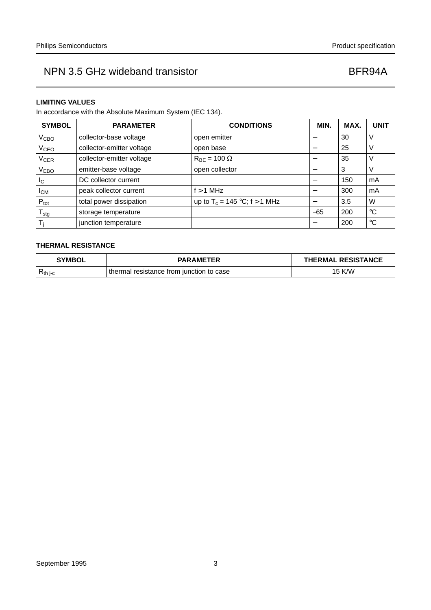### **LIMITING VALUES**

In accordance with the Absolute Maximum System (IEC 134).

| <b>SYMBOL</b>          | <b>PARAMETER</b>          | <b>CONDITIONS</b>                        | MIN.  | MAX. | <b>UNIT</b>     |
|------------------------|---------------------------|------------------------------------------|-------|------|-----------------|
| V <sub>CBO</sub>       | collector-base voltage    | open emitter                             |       | 30   | ν               |
| <b>V<sub>CEO</sub></b> | collector-emitter voltage | open base                                |       | 25   | V               |
| <b>V<sub>CER</sub></b> | collector-emitter voltage | $R_{\text{BF}} = 100 \Omega$             |       | 35   | $\vee$          |
| V <sub>EBO</sub>       | emitter-base voltage      | open collector                           |       | 3    | V               |
| $I_{\rm C}$            | DC collector current      |                                          |       | 150  | mA              |
| $I_{CM}$               | peak collector current    | $f > 1$ MHz                              |       | 300  | mA              |
| $P_{\text{tot}}$       | total power dissipation   | up to T <sub>c</sub> = 145 °C; f > 1 MHz |       | 3.5  | W               |
| ${\sf T}_{\sf stg}$    | storage temperature       |                                          | $-65$ | 200  | $^{\circ}C$     |
|                        | junction temperature      |                                          |       | 200  | $\rm ^{\circ}C$ |

## **THERMAL RESISTANCE**

| <b>SYMBOL</b>       | <b>PARAMETER</b>                         | <b>THERMAL RESISTANCE</b> |
|---------------------|------------------------------------------|---------------------------|
| K <sub>th j-c</sub> | thermal resistance from junction to case | 15 K/W                    |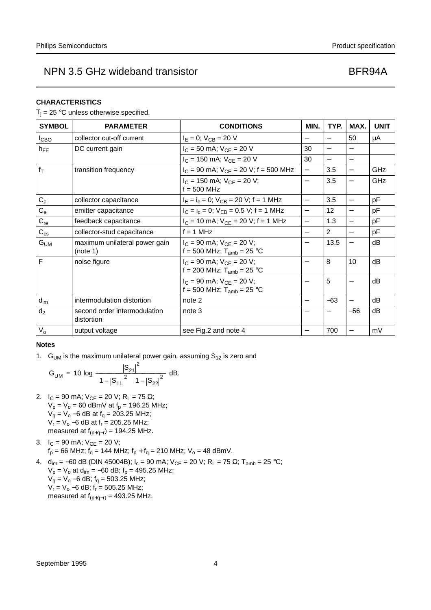### **CHARACTERISTICS**

 $T_i = 25$  °C unless otherwise specified.

| <b>SYMBOL</b>   | <b>PARAMETER</b>                           | <b>CONDITIONS</b>                                                 | MIN.                     | TYP.                     | MAX.                     | <b>UNIT</b> |
|-----------------|--------------------------------------------|-------------------------------------------------------------------|--------------------------|--------------------------|--------------------------|-------------|
| <b>I</b> CBO    | collector cut-off current                  | $I_E = 0$ ; $V_{CB} = 20$ V                                       | $\qquad \qquad$          | $\overline{\phantom{0}}$ | 50                       | μA          |
| $h_{FE}$        | DC current gain                            | $I_C = 50$ mA; $V_{CE} = 20$ V                                    | 30                       | $\overline{\phantom{0}}$ |                          |             |
|                 |                                            | $I_C$ = 150 mA; $V_{CE}$ = 20 V                                   | 30                       |                          |                          |             |
| $f_T$           | transition frequency                       | $I_C$ = 90 mA; $V_{CE}$ = 20 V; f = 500 MHz                       | $\overline{\phantom{0}}$ | 3.5                      | $\qquad \qquad -$        | GHz         |
|                 |                                            | $I_C$ = 150 mA; $V_{CF}$ = 20 V;<br>$f = 500$ MHz                 |                          | 3.5                      |                          | GHz         |
| $C_c$           | collector capacitance                      | $I_E = I_e = 0$ ; $V_{CB} = 20$ V; f = 1 MHz                      | $\overline{\phantom{0}}$ | 3.5                      | $\overline{\phantom{0}}$ | pF          |
| $C_{e}$         | emitter capacitance                        | $I_C = I_c = 0$ ; $V_{EB} = 0.5$ V; f = 1 MHz                     |                          | 12                       | $\qquad \qquad -$        | рF          |
| $C_{re}$        | feedback capacitance                       | $I_C = 10$ mA; $V_{CE} = 20$ V; f = 1 MHz                         |                          | 1.3                      |                          | pF          |
| $C_{\text{cs}}$ | collector-stud capacitance                 | $f = 1$ MHz                                                       |                          | 2                        | $\overline{\phantom{0}}$ | pF          |
| $G_{UM}$        | maximum unilateral power gain<br>(note 1)  | $I_C = 90$ mA; $V_{CF} = 20$ V;<br>f = 500 MHz; $T_{amb}$ = 25 °C |                          | 13.5                     | $\qquad \qquad -$        | dB          |
| F               | noise figure                               | $I_C$ = 90 mA; $V_{CF}$ = 20 V;<br>f = 200 MHz; $T_{amb}$ = 25 °C |                          | 8                        | 10                       | dB          |
|                 |                                            | $I_C = 90$ mA; $V_{CE} = 20$ V;<br>f = 500 MHz; $T_{amb}$ = 25 °C |                          | 5                        | $\overline{\phantom{0}}$ | dB          |
| $d_{\text{im}}$ | intermodulation distortion                 | note 2                                                            |                          | $-63$                    | $\overline{\phantom{m}}$ | dB          |
| $d_2$           | second order intermodulation<br>distortion | note 3                                                            |                          |                          | $-56$                    | dB          |
| $V_{o}$         | output voltage                             | see Fig.2 and note 4                                              |                          | 700                      | $\overline{\phantom{0}}$ | mV          |

### **Notes**

1.  $G<sub>UM</sub>$  is the maximum unilateral power gain, assuming  $S<sub>12</sub>$  is zero and

$$
G_{UM} = 10 \log \frac{|S_{21}|^2}{\left(1 - |S_{11}|^2\right)\left(1 - |S_{22}|^2\right)} dB.
$$

- 2.  $I_C = 90 \text{ mA}$ ;  $V_{CE} = 20 \text{ V}$ ;  $R_L = 75 \Omega$ ;  $V_p = V_o = 60$  dBmV at  $f_p = 196.25$  MHz;  $V_q$  =  $V_o$  −6 dB at  $f_q$  = 203.25 MHz;  $V_r = V_o - 6$  dB at  $f_r = 205.25$  MHz; measured at  $f_{(p+q-r)} = 194.25$  MHz.
- 3.  $I_C = 90$  mA;  $V_{CE} = 20$  V;  $f_p = 66$  MHz;  $f_q = 144$  MHz;  $f_p + f_q = 210$  MHz;  $V_o = 48$  dBmV.
- 4. d<sub>im</sub> = −60 dB (DIN 45004B); I<sub>c</sub> = 90 mA; V<sub>CE</sub> = 20 V; R<sub>L</sub> = 75 Ω; T<sub>amb</sub> = 25 °C;  $V_p = V_o$  at  $d_{im} = -60$  dB;  $f_p = 495.25$  MHz;  $V_q = V_q - 6$  dB;  $f_q = 503.25$  MHz;  $V_r = V_o - 6$  dB;  $f_r = 505.25$  MHz; measured at  $f_{(p+q-r)} = 493.25$  MHz.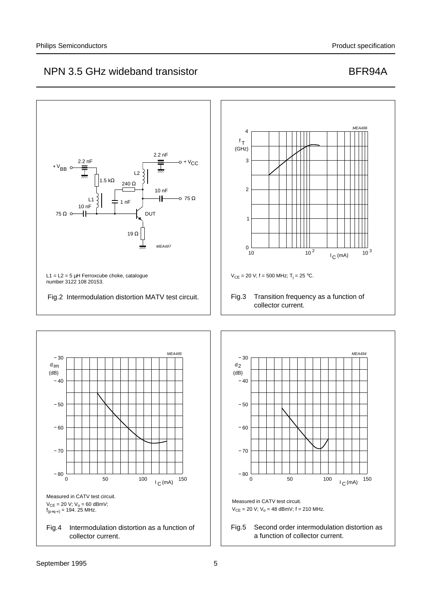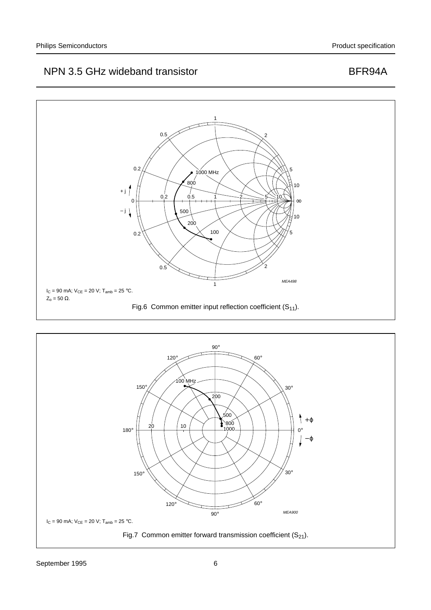

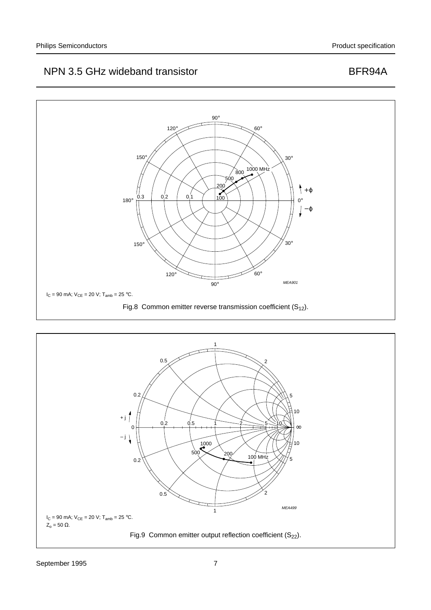

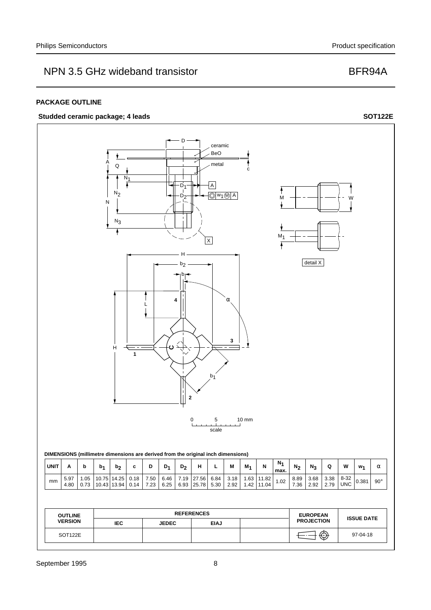### **PACKAGE OUTLINE**

## Studded ceramic package; 4 leads SOT122E